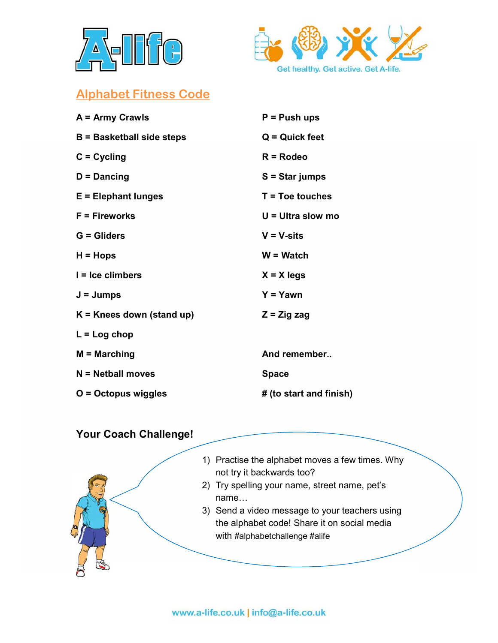



## Alphabet Fitness Code

| A = Army Crawls                  | $P = P$ ush ups         |
|----------------------------------|-------------------------|
| <b>B</b> = Basketball side steps | $Q =$ Quick feet        |
| $C = C$ ycling                   | $R = R$ odeo            |
| $D =$ Dancing                    | $S = Star jumps$        |
| $E = E$ lephant lunges           | $T = Toe$ touches       |
| $F =$ Fireworks                  | $U = U$ Itra slow mo    |
| $G = Gliders$                    | $V = V-sits$            |
| $H = Hops$                       | $W = W$ atch            |
| $I = Ice$ climbers               | $X = X$ legs            |
| $J = Jumps$                      | $Y = Y$ awn             |
| $K =$ Knees down (stand up)      | $Z = Z$ ig zag          |
| $L = Log chop$                   |                         |
| $M =$ Marching                   | And remember            |
| $N = Netball$ moves              | <b>Space</b>            |
| O = Octopus wiggles              | # (to start and finish) |

## Your Coach Challenge!



- 1) Practise the alphabet moves a few times. Why not try it backwards too?
- 2) Try spelling your name, street name, pet's
- 3) Send a video message to your teachers using the alphabet code! Share it on social media with #alphabetchallenge #alife